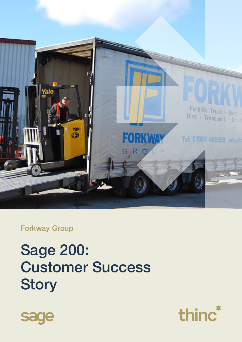

Forkway Group

# Sage 200: Customer Success **Story**



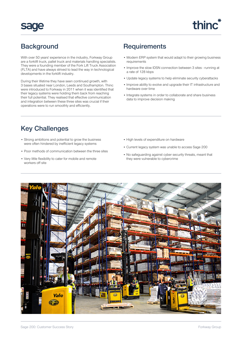

With over 50 years' experience in the industry, Forkway Group are a forklift truck, pallet truck and materials handling specialists. They were a founding member of the Fork Lift Truck Association (FLTA) and have always strived to lead the way in technological developments in the forklift industry.

During their lifetime they have seen continued growth, with 3 bases situated near London, Leeds and Southampton. Thinc were introduced to Forkway in 2011 when it was identified that their legacy systems were holding them back from reaching their full potential. They realised that effective communication and integration between these three sites was crucial if their operations were to run smoothly and efficiently.

### Background Requirements

- Modern ERP system that would adapt to their growing business requirements
- Improve the slow IDSN connection between 3 sites running at a rate of 128 kbps
- Update legacy systems to help eliminate security cyberattacks
- Improve ability to evolve and upgrade their IT infrastructure and hardware over time
- Integrate systems in order to collaborate and share business data to improve decision making

#### Key Challenges

- Strong ambitions and potential to grow the business were often hindered by inefficient legacy systems
- Poor methods of communication between the three sites
- Very little flexibility to cater for mobile and remote workers off site
- High levels of expenditure on hardware
- Current legacy system was unable to access Sage 200
- No safeguarding against cyber security threats, meant that they were vulnerable to cybercrime